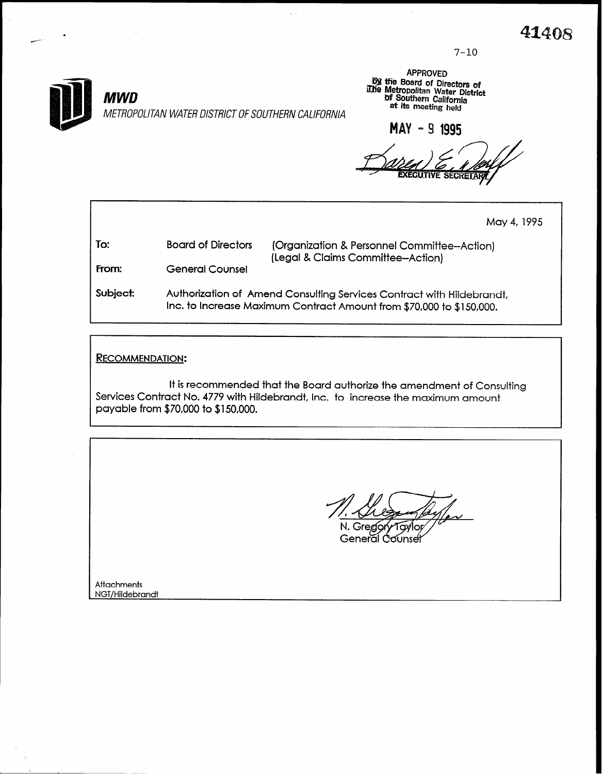7-10



APPROVED **By the Board of Directors of**<br>indie Metropolitan Water Distric of Southern California

MAY - 9 1995

May 4,1995

| To:   | <b>Board of Directors</b> | (Organization & Pe<br>(Legal & Claims Co |
|-------|---------------------------|------------------------------------------|
| From: | <b>General Counsel</b>    |                                          |
|       |                           |                                          |

ersonnel Committee--Action) ommittee-Action)

Subject Authorization of Amend Consulting Services Contract with Hildebrandt, Inc. to Increase Maximum Contract Amount from \$70,000 to \$150,000.

RECOMMENDATION:

It is recommended that the Board authorize the amendment of Consulting Services Contract No. 4779 with Hildebrandt, inc. to increase the maximum amount payable from \$70,000 to \$150,000.

 $\circ$ 

Gregor 1av General Counse

**Attachments** NGT/Hildebrandt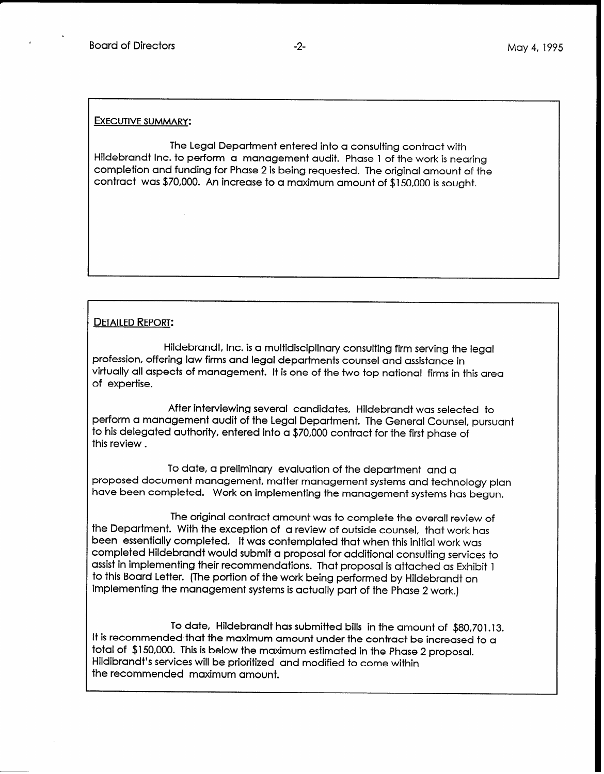#### EXECUTIVE SUMMARY:

The Legal Department entered into a consulting contract with Hildebrandt Inc. to perform a management audit. Phase 1 of the work is nearing completion and funding for Phase 2 is being requested. The original amount of the contract was \$70,000. An increase to a maximum amount of \$150,000 is sought.

#### DETAILED REPORT:

Hildebrandt, Inc. is a multidisciplinary consulting firm serving the legal profession, offering law firms and legal departments counsel and assistance in virtually all aspects of management. It is one of the two top national firms in this area of expertise.

After interviewing several candidates, Hildebrandt was selected to perform a management audit of the Legal Department. The General Counsel, pursuant to his delegated authority, entered into a \$70,000 contract for the first phase of this review .

To date, a preliminary evaluation of the department and a proposed document management, matter management systems and technology plan have been completed. Work on implementing the management systems has begun.

The original contract amount was to complete the overall review of the Department. With the exception of a review of outside counsel, that work has been essentially completed. It was contemplated that when this initial work was completed Hildebrandt would submit a proposal for additional consulting services to assist in implementing their recommendations. That proposal is attached as Exhibit 1 to this Board Letter. (The portion of the work being performed by Hildebrandt on implementing the management systems is actually part of the Phase 2 work.)

To date, Hildebrandt has submitted bills in the amount of \$80,701.13. It is recommended that the maximum amount under the contract be increased to a total of \$150,000. This is below the maximum estimated in the Phase 2 proposal. Hildibrandt's services will be prioritized and modified to come within the recommended maximum amount.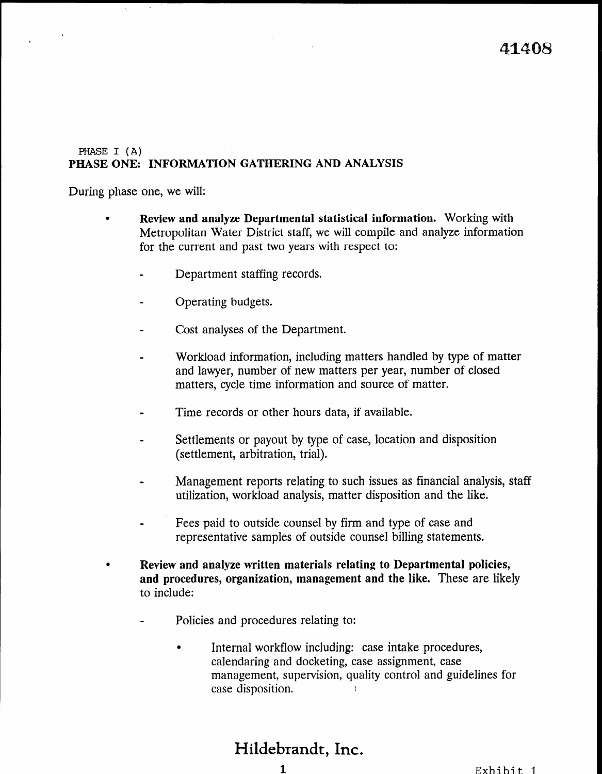### PHASE I (A) PHASE ONE: INFORMATION GATHERING AND ANALYSIS

During phase one, we will:

- Review and analyze Departmental statistical information. Working with Metropolitan Water District staff, we will compile and analyze information for the current and past two years with respect to:
	- Department staffing records.  $\bullet$
	- Operating budgets.
	- Cost analyses of the Department.
	- Workload information, including matters handled by type of matter and lawyer, number of new matters per year, number of closed matters, cycle time information and source of matter.
	- Time records or other hours data, if available.
	- Settlements or payout by type of case, location and disposition (settlement, arbitration, trial).
	- Management reports relating to such issues as financial analysis, staff wanagement reports relating to such issues as miancial analy
	- $\mathbf{F} = \begin{pmatrix} \mathbf{F} & \mathbf{F} & \mathbf{F} & \mathbf{F} & \mathbf{F} & \mathbf{F} & \mathbf{F} & \mathbf{F} & \mathbf{F} & \mathbf{F} & \mathbf{F} & \mathbf{F} & \mathbf{F} & \mathbf{F} & \mathbf{F} & \mathbf{F} & \mathbf{F} & \mathbf{F} & \mathbf{F} & \mathbf{F} & \mathbf{F} & \mathbf{F} & \mathbf{F} & \mathbf{F} & \mathbf{F} & \mathbf{F} & \mathbf{F} & \mathbf{F} & \mathbf{F} & \mathbf{$ recs paid to outside counsel by mini and type of case and
- <sup>l</sup>Review and analyze written materials relating to Departmental policies, Review and analyze written materials relating to Departmental policies, and procedures, organization, management and the like. These are likely to include:
	- Policies and procedures relating to:
		- <sup>l</sup>Internal workflow including: case intake procedures,  $\bullet$ Internal workflow including: case intake procedures, calendaring and docketing, case assignment, case management, supervision, quality control and guidelines for case disposition.  $\mathbf{f}$

#### Hildebrandt, Inc.  $1.4144$ ;  $1.10$ ;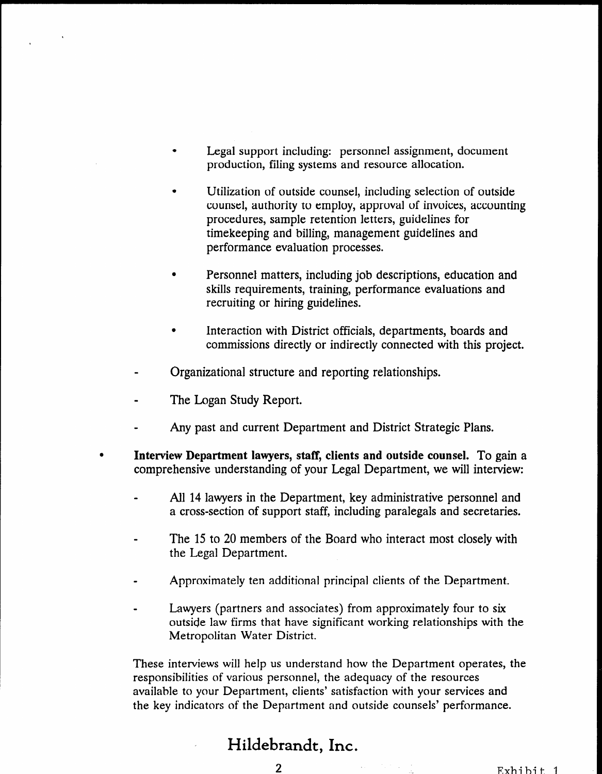- Legal support including: personnel assignment, document production, filing systems and resource allocation.
- <sup>l</sup>Utilization of outside counsel, including selection of outside counsel, authority to employ, approval of invoices, accounting procedures, sample retention letters, guidelines for timekeeping and billing, management guidelines and performance evaluation processes.
- $\bullet$ Personnel matters, including job descriptions, education and skills requirements, training, performance evaluations and recruiting or hiring guidelines.
- Interaction with District officials, departments, boards and commissions directly or indirectly connected with this project.
- Organizational structure and reporting relationships.
- The Logan Study Report.
- Any past and current Department and District Strategic Plans.
- $\bullet$ Interview Department lawyers, staff, clients and outside counsel. To gain a comprehensive understanding of your Legal Department, we will interview:
	- All 14 lawyers in the Department, key administrative personnel and All  $\alpha$  lawyers in the Department, key administrative personnel and secretaries.
	- $T$  to  $20$  members of the Board who interact most contact most contact most contact most contact most contact most contact most contact most contact most contact most contact most contact most contact most contact most c The 15 to 20 members
	- Approximately ten additional principal clients of the Department.
	- $\mathcal{L}$  (partners associates) from associates) from a sociates) from a point of to six  $\mathcal{L}$ Law first equilibrium is that have significant working  $\frac{1}{2}$  and  $\frac{1}{2}$  and  $\frac{1}{2}$  and  $\frac{1}{2}$  and  $\frac{1}{2}$  and  $\frac{1}{2}$  and  $\frac{1}{2}$  and  $\frac{1}{2}$  and  $\frac{1}{2}$  and  $\frac{1}{2}$  and  $\frac{1}{2}$  and  $\frac{1}{2}$  an outside law firms that have significant working relationships with the Metropolitan Water District.

These interviews will help us understand how the Department operates, the These interviews will help us understand how the Department operates, the responsibilities of various personnel, the adequacy of the resources available to your Department, clients' satisfaction with your services and the key indicators of the Department and outside counsels' performance.

### Hildebrandt, Inc. 2 Exhibit 1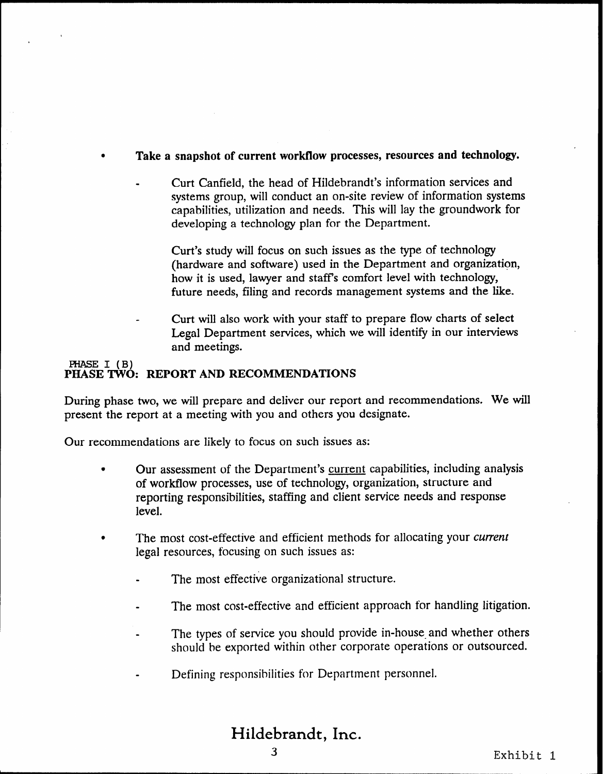## Take a snapshot of current workflow processes, resources and technology.

Curt Canfield, the head of Hildebrandt's information services and systems group, will conduct an on-site review of information systems capabilities, utilization and needs. This will lay the groundwork for developing a technology plan for the Department.

Curt's study will focus on such issues as the type of technology (hardware and software) used in the Department and organization, how it is used, lawyer and staffs comfort level with technology, future needs, filing and records management systems and the like.

Curt will also work with your staff to prepare flow charts of select Legal Department services, which we will identify in our interviews and meetings.

#### PHASE I (B) PHASE TWO: REPORT AND RECOMMENDATIONS

During phase two, we will prepare and deliver our report and recommendations. We will present the report at a meeting with you and others you designate.

Our recommendations are likely to focus on such issues as:

- Our assessment of the Department's current capabilities, including analysis of workflow processes, use of technology, organization, structure and reporting responsibilities, staffing and client service needs and response level.
- The most cost-effective and efficient methods for allocating your current legal resources, focusing on such issues as:
	- The most effective organizational structure.
	- The most cost-effective and efficient approach for handling litigation.
	- The types of service you should provide in-house and whether others should be exported within other corporate operations or outsourced.
	- Defining responsibilities for Department personnel.

# Hildebrandt, Inc.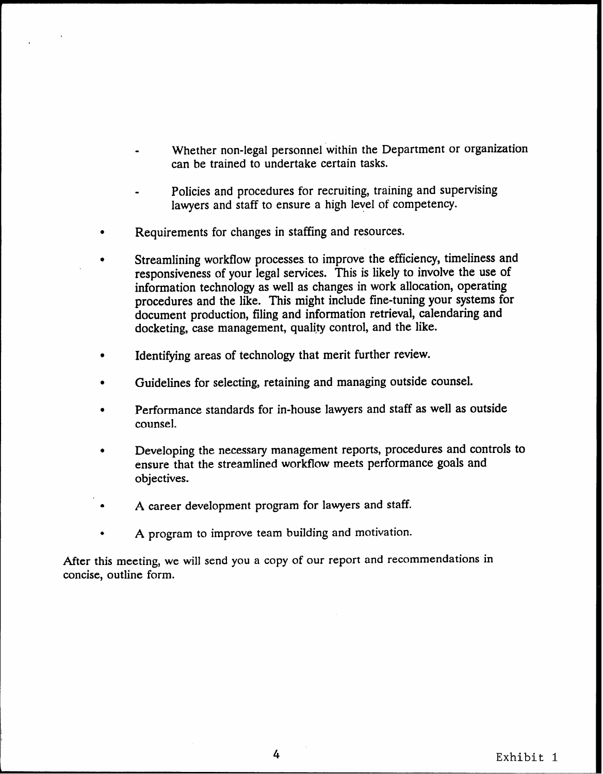- Whether non-legal personnel within the Department or organization can be trained to undertake certain tasks.
- Policies and procedures for recruiting, training and supervising lawyers and staff to ensure a high level of competency.
- Requirements for changes in staffing and resources.
- Streamlining workflow processes to improve the efficiency, timeliness and responsiveness of your legal services. This is likely to involve the use of information technology as well as changes in work allocation, operating procedures and the like. This might include fine-tuning your systems for document production, filing and information retrieval, calendaring and docketing, case management, quality control, and the like.
- Identifying areas of technology that merit further review.
- <sup>0</sup>Guidelines for selecting, retaining and managing outside counsel.
- Performance standards for in-house lawyers and staff as well as outside counsel.
- <sup>0</sup>Developing the necessary management reports, procedures and controls to ensure that the streamlined workflow meets performance goals and objectives.
- A career development program for lawyers and staff.
- <sup>l</sup>A program to improve team building and motivation.

After this meeting, we will send you a copy of our report and recommendations in concise, outline form.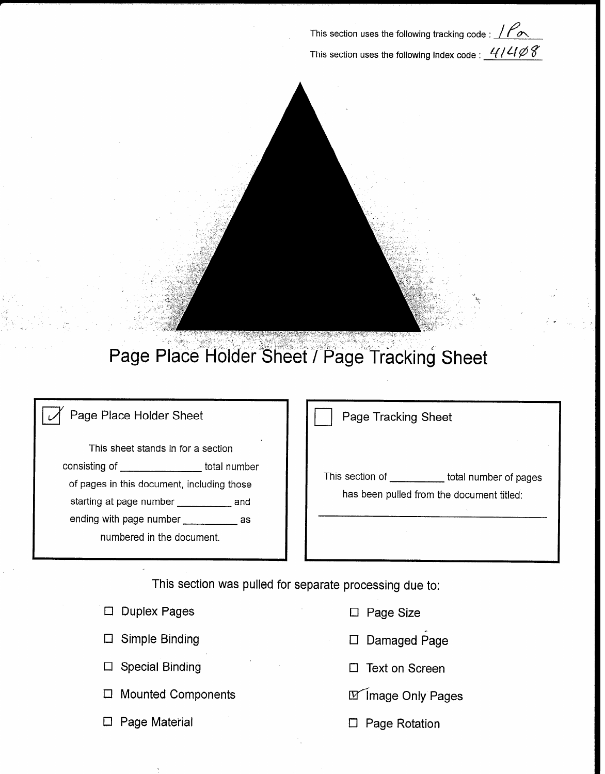This section uses the following tracking code :  $\sqrt{\rho_{\infty}}$ This section uses the following index code :  $41408$ 



# Page Place Holder Sheet / Page Tracking Sheet

# Page Place Holder Sheet

This sheet stands in for a section consisting of \_\_\_\_\_\_\_\_\_\_\_\_\_\_\_\_\_\_\_total number of pages in this document, including those starting at page number \_\_\_\_\_\_\_\_\_\_ and ending with page number \_\_\_\_\_\_\_\_\_\_\_\_\_ as numbered in the document.

Page Tracking Sheet

This section of \_\_\_\_\_\_\_\_\_\_\_ total number of pages has been pulled from the document titled:

This section was pulled for separate processing due to:

| $\Box$ Duplex Pages       | $\Box$ Page Size      |
|---------------------------|-----------------------|
| $\Box$ Simple Binding     | □ Damaged Page        |
| $\Box$ Special Binding    | $\Box$ Text on Screen |
| $\Box$ Mounted Components | M Image Only Pages    |
| $\Box$ Page Material      | $\Box$ Page Rotation  |

- 
- naged Page
- 
- 
-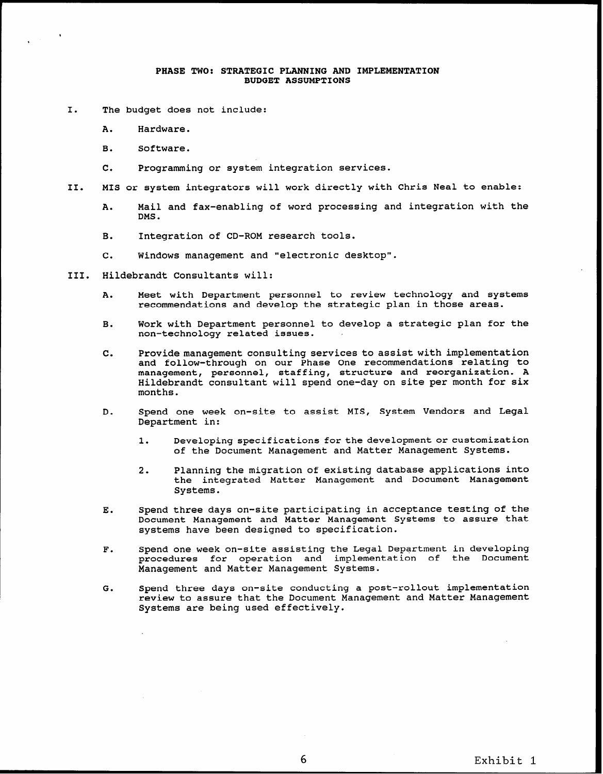#### PHASE TWO: STRATEGIC PLANNING AND IMPLEMENTATION BUDGET ASSUMPTIONS

- I. The budget does not include:
	- A. Hardware.
	- B. Software.
	- c. Programming or system integration services.
- II. MIS or system integrators will work directly with Chris Neal to enable:
	- A. Mail and fax-enabling of word processing and integration with the DMS.
	- B. Integration of CD-ROM research tools.
	- c. Windows management and "electronic desktop".
- III. Hildebrandt Consultants will:
	- A. Meet with Department personnel to review technology and systems recommendations and develop the strategic plan in those areas.
	- B. Work with Department personnel to develop a strategic plan for the non-technology related issues.
	- c. Provide management consulting services to assist with implementation and follow-through on our Phase One recommendations relating to management, personnel, staffing, structure and reorganization. A Hildebrandt consultant will spend one-day on site per month for six months.
	- D. Spend one week on-site to assist MIS, System Vendors and Legal Department in:
		- 1. Developing specifications for the development or customization of the Document Management and Matter Management Systems.
		- 2. Planning the migration of existing database applications into the integrated Matter Management and Document Management Systems.
	- E. Spend three days on-site participating in acceptance testing of the Document Management and Matter Management Systems to assure that systems have been designed to specification.
	- F. Spend one week on-site assisting the Legal Department in developing procedures for operation and implementation of the Document Management and Matter Management Systems.
	- G. Spend three days on-site conducting a post-rollout implementation review to assure that the Document Management and Matter Management Systems are being used effectively.